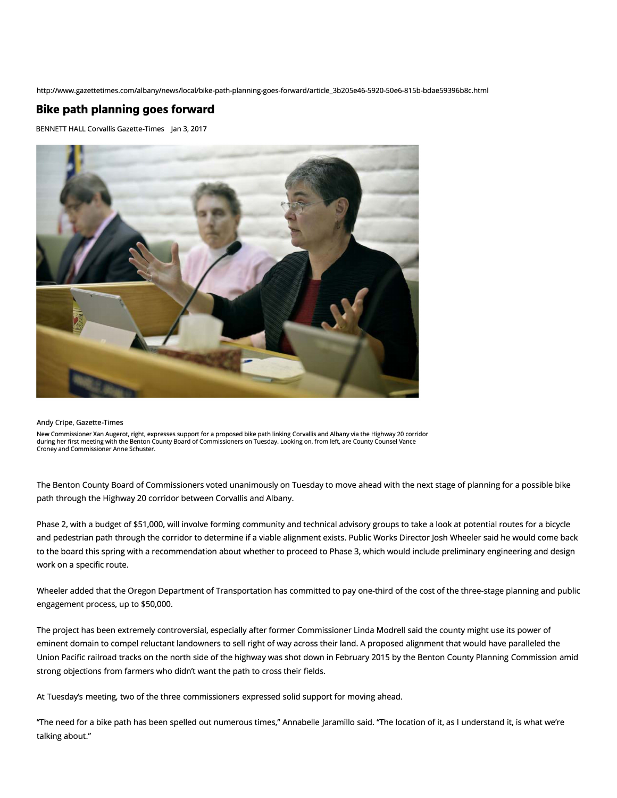http://www.gazettetimes.com/albany/news/local/bike-path-planning-goes-forward/article\_3b205e46-5920-50e6-815b-bdae59396b8c.html

## **Bike path planning goes forward**

BENNETI HALL Corvallis Gazette-Times Jan 3, 2017



## Andy Cripe, Gazette-Times

New Commissioner Xan Augerot, right, expresses support for a proposed bike path linking Corvallis and Albany via the Highway 20 corridor during her first meeting with the Benton County Board of Commissioners on Tuesday. Looking on, from left, are County Counsel Vance Croney and Commissioner Anne Schuster.

The Benton County Board of Commissioners voted unanimously on Tuesday to move ahead with the next stage of planning for a possible bike path through the Highway 20 corridor between Corvallis and Albany.

Phase 2, with a budget of \$51,000, will involve forming community and technical advisory groups to take a look at potential routes for a bicycle and pedestrian path through the corridor to determine if a viable alignment exists. Public Works Director Josh Wheeler said he would come back to the board this spring with a recommendation about whether to proceed to Phase 3, which would include preliminary engineering and design work on a specific route.

Wheeler added that the Oregon Department of Transportation has committed to pay one-third of the cost of the three-stage planning and public engagement process, up to \$50,000.

The project has been extremely controversial, especially after former Commissioner Linda Modrell said the county might use its power of eminent domain to compel reluctant landowners to sell right of way across their land. A proposed alignment that would have paralleled the Union Pacific railroad tracks on the north side of the highway was shot down in February 2015 by the Benton County Planning Commission amid strong objections from farmers who didn't want the path to cross their fields.

At Tuesday's meeting, two of the three commissioners expressed solid support for moving ahead.

"The need for a bike path has been spelled out numerous times," Annabelle Jaramillo said. "The location of it, as I understand it, is what we're talking about."